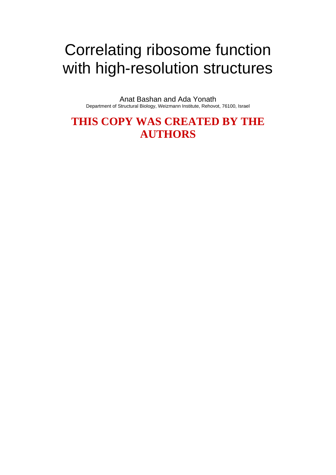# Correlating ribosome function with high-resolution structures

Anat Bashan and Ada Yonath Department of Structural Biology, Weizmann Institute, Rehovot, 76100, Israel

**THIS COPY WAS CREATED BY THE AUTHORS**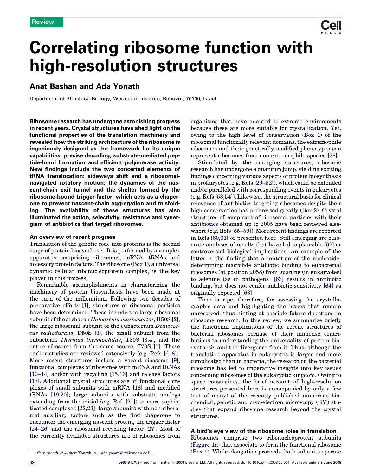

## Anat Bashan and Ada Yonath

Department of Structural Biology, Weizmann Institute, Rehovot, 76100, Israel

Ribosome research has undergone astonishing progress in recent years. Crystal structures have shed light on the functional properties of the translation machinery and revealed how the striking architecture of the ribosome is ingeniously designed as the framework for its unique capabilities: precise decoding, substrate-mediated peptide-bond formation and efficient polymerase activity. New findings include the two concerted elements of tRNA translocation: sideways shift and a ribosomalnavigated rotatory motion; the dynamics of the nascent-chain exit tunnel and the shelter formed by the ribosome-bound trigger-factor, which acts as a chaperone to prevent nascent-chain aggregation and misfolding. The availability of these structures has also illuminated the action, selectivity, resistance and synergism of antibiotics that target ribosomes.

#### An overview of recent progress

Translation of the genetic code into proteins is the second stage of protein biosynthesis. It is performed by a complex apparatus comprising ribosomes, mRNA, tRNAs and accessory protein factors. The ribosome ([Box 1](#page-2-0)), a universal dynamic cellular ribonucleoprotein complex, is the key player in this process.

Remarkable accomplishments in characterizing the machinery of protein biosynthesis have been made at the turn of the millennium. Following two decades of preparative efforts [\[1\]](#page-8-0), structures of ribosomal particles have been determined. These include the large ribosomal subunit of the archaeon Haloarcula marismortui, H50S [\[2\]](#page-8-0), the large ribosomal subunit of the eubacterium Deinococcus radiodurans, D50S [\[3\]](#page-8-0), the small subunit from the eubacteria Thermus thermophilus, T30S [\[3,4\],](#page-8-0) and the entire ribosome from the same source, T70S [\[5\].](#page-8-0) These earlier studies are reviewed extensively (e.g. Refs [\[6–8\]](#page-8-0)). More recent structures include a vacant ribosome [\[9\]](#page-8-0), functional complexes of ribosomes with mRNA and tRNAs [\[10–14\]](#page-8-0) and/or with recycling [\[15,16\]](#page-9-0) and release factors [\[17\]](#page-9-0). Additional crystal structures are of: functional complexes of small subunits with mRNA [\[18\]](#page-9-0) and modified tRNAs [\[19,20\]](#page-9-0); large subunits with substrate analogs extending from the initial (e.g. Ref. [\[21\]](#page-9-0)) to more sophisticated complexes [\[22,23\]](#page-9-0); large subunits with non-ribosomal auxiliary factors such as the first chaperone to encounter the emerging nascent protein, the trigger factor [\[24–26\]](#page-9-0) and the ribosomal recycling factor [\[27\]](#page-9-0). Most of the currently available structures are of ribosomes from organisms that have adapted to extreme environments because these are more suitable for crystallization. Yet, owing to the high level of conservation ([Box 1\)](#page-2-0) of the ribosomal functionally relevant domains, the extremophile ribosomes and their genetically modified phenotypes can represent ribosomes from non-extremophile species [\[28\]](#page-9-0).

Stimulated by the emerging structures, ribosome research has undergone a quantum jump, yielding exciting findings concerning various aspects of protein biosynthesis in prokaryotes (e.g. Refs [\[29–52\]\)](#page-9-0), which could be extended and/or paralleled with corresponding events in eukaryotes (e.g. Refs [\[53,54\]\)](#page-9-0). Likewise, the structural basis for clinical relevance of antibiotics targeting ribosomes despite their high conservation has progressed greatly [\(Box 2\)](#page-2-0). Crystal structures of complexes of ribosomal particles with their antibiotics obtained up to 2005 have been reviewed elsewhere (e.g. Refs [\[55–59\]\)](#page-9-0). More recent findings are reported in Refs [\[60,61\]](#page-9-0) or presented here. Still emerging are elaborate analyses of results that have led to plausible [\[62\]](#page-9-0) or controversial biological implications. An example of the latter is the finding that a mutation of the nucleotidedetermining macrolide antibiotic binding to eubacterial ribosomes (at position 2058) from guanine (in eukaryotes) to adenine (as in pathogens) [\[63\]](#page-9-0) results in antibiotic binding, but does not confer antibiotic sensitivity [\[64\]](#page-9-0) as originally expected [\[63\]](#page-9-0).

Time is ripe, therefore, for assessing the crystallographic data and highlighting the issues that remain unresolved, thus hinting at possible future directions in ribosome research. In this review, we summarize briefly the functional implications of the recent structures of bacterial ribosomes because of their immense contributions to understanding the universality of protein biosynthesis and the divergence from it. Thus, although the translation apparatus in eukaryotes is larger and more complicated than in bacteria, the research on the bacterial ribosome has led to imperative insights into key issues concerning ribosomes of the eukaryotic kingdom. Owing to space constraints, the brief account of high-resolution structures presented here is accompanied by only a few (out of many) of the recently published numerous biochemical, genetic and cryo-electron microscopy (EM) studies that expand ribosome research beyond the crystal structures.

## A bird's eye view of the ribosome roles in translation

Ribosomes comprise two ribonucleoprotein subunits ([Figure 1a](#page-3-0)) that associate to form the functional ribosome ([Box 1](#page-2-0)). While elongation proceeds, both subunits operate

Corresponding author: Yonath, A. [\(ada.yonath@weizmann.ac.il](mailto:ada.yonath@weizmann.ac.il)).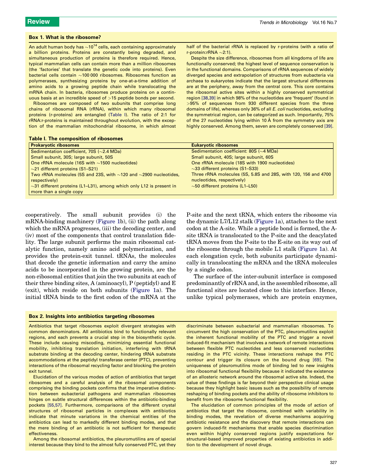#### <span id="page-2-0"></span>Box 1. What is the ribosome?

An adult human body has  ${\sim}$ 10<sup>14</sup> cells, each containing approximately a billion proteins. Proteins are constantly being degraded, and simultaneous production of proteins is therefore required. Hence, typical mammalian cells can contain more than a million ribosomes (the 'factories' that translate the genetic code into proteins). Even bacterial cells contain  ${\sim}$ 100 000 ribosomes. Ribosomes function as polymerases, synthesizing proteins by one-at-a-time addition of amino acids to a growing peptide chain while translocating the mRNA chain. In bacteria, ribosomes produce proteins on a continuous basis at an incredible speed of >15 peptide bonds per second.

Ribosomes are composed of two subunits that comprise long chains of ribosomal RNA (rRNA), within which many ribosomal proteins (r-proteins) are entangled (Table I). The ratio of 2:1 for rRNA:r-proteins is maintained throughout evolution, with the exception of the mammalian mitochondrial ribosome, in which almost

| Table I. The composition of ribosomes |  |
|---------------------------------------|--|
|                                       |  |

half of the bacterial rRNA is replaced by r-proteins (with a ratio of r-protein: $rRNA \sim 2:1$ ).

Despite the size difference, ribosomes from all kingdoms of life are functionally conserved; the highest level of sequence conservation is in the functional domains. Comparisons of rRNA sequences of widely diverged species and extrapolation of structures from eubacteria via archaea to eukaryotes indicate that the largest structural differences are at the periphery, away from the central core. This core contains the ribosomal active sites within a highly conserved symmetrical region [\[38,39\]](#page-9-0) in which 98% of the nucleotides are 'frequent' (found in >95% of sequences from 930 different species from the three domains of life), whereas only 36% of all E. coli nucleotides, excluding the symmetrical region, can be categorized as such. Importantly, 75% of the 27 nucleotides lying within 10  $\AA$  from the symmetry axis are highly conserved. Among them, seven are completely conserved [\[39\].](#page-9-0)

| <u>. asia n'ino composition of mocounto</u>                                  |                                                                |  |  |
|------------------------------------------------------------------------------|----------------------------------------------------------------|--|--|
| <b>Prokaryotic ribosomes</b>                                                 | <b>Eukaryotic ribosomes</b>                                    |  |  |
| Sedimentation coefficient, 70S ( $\sim$ 2.4 MDa)                             | Sedimentation coefficient: 80S $(\sim4 \text{ MDa})$           |  |  |
| Small subunit, 30S; large subunit, 50S                                       | Small subunit, 40S; large subunit, 60S                         |  |  |
| One rRNA molecule (16S with $\sim$ 1500 nucleotides)                         | One rRNA molecule (18S with 1900 nucleotides)                  |  |  |
| $\sim$ 21 different proteins (S1–S21)                                        | $\sim$ 33 different proteins (S1–S33)                          |  |  |
| Two rRNA molecules (5S and 23S, with $\sim$ 120 and $\sim$ 2900 nucleotides, | Three rRNA molecules (5S, 5.8S and 28S, with 120, 156 and 4700 |  |  |
| respectively)                                                                | nucleotides, respectively)                                     |  |  |
| $\sim$ 31 different proteins (L1–L31), among which only L12 is present in    | $\sim$ 50 different proteins (L1–L50)                          |  |  |
| more than a single copy                                                      |                                                                |  |  |
|                                                                              |                                                                |  |  |

cooperatively. The small subunit provides (i) the mRNA-binding machinery ([Figure 1b](#page-3-0)), (ii) the path along which the mRNA progresses, (iii) the decoding center, and (iv) most of the components that control translation fidelity. The large subunit performs the main ribosomal catalytic function, namely amino acid polymerization, and provides the protein-exit tunnel. tRNAs, the molecules that decode the genetic information and carry the amino acids to be incorporated in the growing protein, are the non-ribosomal entities that join the two subunits at each of their three binding sites, A (aminoacyl), P (peptidyl) and E (exit), which reside on both subunits [\(Figure 1a](#page-3-0)). The initial tRNA binds to the first codon of the mRNA at the

P-site and the next tRNA, which enters the ribosome via the dynamic L7/L12 stalk ([Figure 1a](#page-3-0)), attaches to the next codon at the A-site. While a peptide bond is formed, the Asite tRNA is translocated to the P-site and the deacylated tRNA moves from the P-site to the E-site on its way out of the ribosome through the mobile L1 stalk ([Figure 1](#page-3-0)a). At each elongation cycle, both subunits participate dynamically in translocating the mRNA and the tRNA molecules by a single codon.

The surface of the inter-subunit interface is composed predominantly of rRNA and, in the assembled ribosome, all functional sites are located close to this interface. Hence, unlike typical polymerases, which are protein enzymes,

#### Box 2. Insights into antibiotics targeting ribosomes

Antibiotics that target ribosomes exploit divergent strategies with common denominators. All antibiotics bind to functionally relevant regions, and each prevents a crucial step in the biosynthetic cycle. These include causing miscoding, minimizing essential functional mobility, inhibiting translation initiation, interfering with tRNA substrate binding at the decoding center, hindering tRNA substrate accommodations at the peptidyl transferase center (PTC), preventing interactions of the ribosomal recycling factor and blocking the protein exit tunnel.

Elucidation of the various modes of action of antibiotics that target ribosomes and a careful analysis of the ribosomal components comprising the binding pockets confirms that the imperative distinction between eubacterial pathogens and mammalian ribosomes hinges on subtle structural differences within the antibiotic-binding pockets [\[55,57\].](#page-9-0) Furthermore, comparisons of the different crystal structures of ribosomal particles in complexes with antibiotics indicate that minute variations in the chemical entities of the antibiotics can lead to markedly different binding modes, and that the mere binding of an antibiotic is not sufficient for therapeutic effectiveness.

Among the ribosomal antibiotics, the pleuromutilins are of special interest because they bind to the almost fully conserved PTC, yet they

discriminate between eubacterial and mammalian ribosomes. To circumvent the high conservation of the PTC, pleuromutilins exploit the inherent functional mobility of the PTC and trigger a novel induced-fit mechanism that involves a network of remote interactions between flexible PTC nucleotides and less conserved nucleotides residing in the PTC vicinity. These interactions reshape the PTC contour and trigger its closure on the bound drug [\[69\].](#page-10-0) The uniqueness of pleuromutilins mode of binding led to new insights into ribosomal functional flexibility because it indicated the existence of an allosteric network around the ribosomal active site. Indeed, the value of these findings is far beyond their perspective clinical usage because they highlight basic issues such as the possibility of remote reshaping of binding pockets and the ability of ribosome inhibitors to benefit from the ribosome functional flexibility.

The elucidation of common principles of the mode of action of antibiotics that target the ribosome, combined with variability in binding modes, the revelation of diverse mechanisms acquiring antibiotic resistance and the discovery that remote interactions can govern induced-fit mechanisms that enable species discrimination even within highly conserved regions justify expectations for structural-based improved properties of existing antibiotics in addition to the development of novel drugs.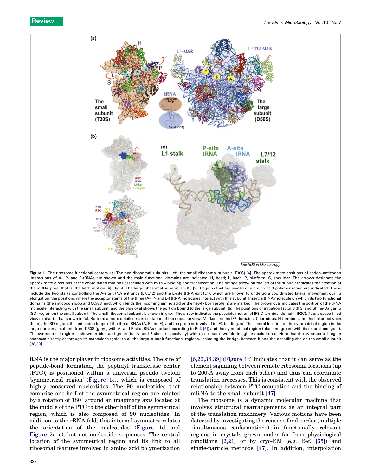<span id="page-3-0"></span>

Figure 1. The ribosome functional centers. (a) The two ribosomal subunits. Left: the small ribosomal subunit (T30S) [\[4\]](#page-8-0). The approximate positions of codon-anticodon interactions of A-, P- and E-tRNAs are shown and the main functional domains are indicated: H, head; L, latch; P, platform; S, shoulder. The arrows designate the approximate directions of the coordinated motions associated with mRNA binding and translocation. The orange arrow on the left of the subunit indicates the creation of the mRNA pore, that is, the latch motion [\[4\].](#page-8-0) Right: The large ribosomal subunit (D50S) [\[2\]](#page-8-0). Regions that are involved in amino acid polymerization are indicated. These include the two stalks controlling the A-site tRNA entrance (L7/L12) and the E-site tRNA exit (L1), which are known to undergo a coordinated lateral movement during elongation; the positions where the acceptor stems of the three (A-, P- and E-) tRNA molecules interact with this subunit. Insert: a tRNA molecule on which its two functional domains (the anticodon loop and CCA 3' end, which binds the incoming amino acid or the newly born protein) are marked. The brown oval indicates the portion of the tRNA molecule interacting with the small subunit, and the blue oval shows the portion bound to the large subunit. (b) The positions of initiation factor 3 (IF3) and Shine-Dalgarno (SD) region on the small subunit. The small ribosomal subunit is shown in gray. The arrow indicates the possible motion of IF3 C-terminal domain (IF3C). Top: a space-filled view similar to that shown in (a). Bottom: a more detailed representation of the opposite view. Marked are the IF3 domains (C terminus, N terminus and the linker between them), the SD region, the anticodon loops of the three tRNAs (A, P and E), and the proteins involved in IF3 binding. (c) The central location of the symmetrical region in the large ribosomal subunit from D50S (gray), with A- and P-site tRNAs (docked according to Ref. [\[5\]](#page-8-0)) and the symmetrical region (blue and green) with its extensions (gold). The symmetrical region is shown in blue and green (for A- and P-sites, respectively) with the pseudo twofold imaginary axis in red. Note that the symmetrical region connects directly or through its extensions (gold) to all the large subunit functional regions, including the bridge, between it and the decoding site on the small subunit [\[38,39\]](#page-9-0).

RNA is the major player in ribosome activities. The site of peptide-bond formation, the peptidyl transferase center (PTC), is positioned within a universal pseudo twofold 'symmetrical region' (Figure 1c), which is composed of highly conserved nucleotides. The 90 nucleotides that comprise one-half of the symmetrical region are related by a rotation of  $180^\circ$  around an imaginary axis located at the middle of the PTC to the other half of the symmetrical region, which is also composed of 90 nucleotides. In addition to the rRNA fold, this internal symmetry relates the orientation of the nucleotides (Figure 1d and [Figure 2a](#page-4-0)–c), but not nucleotide sequences. The central location of the symmetrical region and its link to all ribosomal features involved in amino acid polymerization [\[6,22,38,39\]](#page-8-0) (Figure 1c) indicates that it can serve as the element signaling between remote ribosomal locations (up to 200-A away from each other) and thus can coordinate translation processes. This is consistent with the observed relationship between PTC occupation and the binding of mRNA to the small subunit [\[47\]](#page-9-0).

The ribosome is a dynamic molecular machine that involves structural rearrangements as an integral part of the translation machinery. Various motions have been detected by investigating the reasons for disorder (multiple simultaneous conformations) in functionally relevant regions in crystals grown under far from physiological conditions [\[2,21\]](#page-8-0) or by cryo-EM (e.g. Ref. [\[65\]](#page-9-0)) and single-particle methods [\[47\]](#page-9-0). In addition, interpolation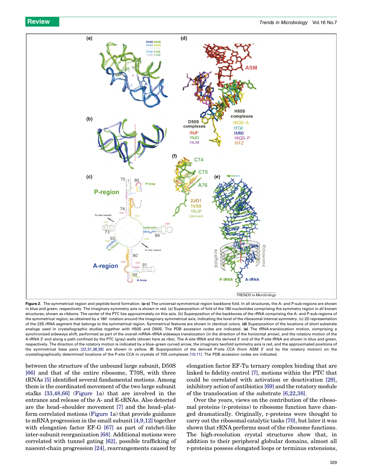<span id="page-4-0"></span>

Figure 2. The symmetrical region and peptide-bond formation. (a-c) The universal symmetrical region backbone fold. In all structures, the A- and P-sub-regions are shown in blue and green, respectively. The imaginary symmetry axis is shown in red. (a) Superposition of fold of the 180 nucleotides comprising the symmetry region in all known structures, shown as ribbons. The center of the PTC lies approximately on this axis. (b) Superposition of the backbones of the rRNA comprising the A- and P-sub-regions of the symmetrical region, as obtained by a 180° rotation around the imaginary symmetrical axis, indicating the level of the ribosomal internal symmetry. (c) 2D representation of the 23S rRNA segment that belongs to the symmetrical region. Symmetrical features are shown in identical colors. (d) Superposition of the locations of short substrate analogs used in crystallographic studies together with H50S and D50S. The PDB accession codes are indicated. (e) The tRNA-translocation motion, comprising a synchronized sideways shift, performed as part of the overall mRNA-tRNA sideways translocation (in the direction of the horizontal arrow), and the rotatory motion of the A-tRNA 3' end along a path confined by the PTC (gray) walls (shown here as ribs). The A-site tRNA and the derived 3' end of the P-site tRNA are shown in blue and green, respectively. The direction of the rotatory motion is indicated by a blue–green curved arrow, the imaginary twofold symmetry axis is red, and the approximated positions of the symmetrical base pairs [\[22,31,38,39\]](#page-9-0) are shown in yellow. (f) Superposition of the derived P-site CCA (from ASM 3' end by the rotatory motion) on the crystallographically determined locations of the P-site CCA in crystals of 70S complexes [\[10,11\]](#page-8-0). The PDB accession codes are indicated.

between the structure of the unbound large subunit, D50S [\[66\]](#page-9-0) and that of the entire ribosome, T70S, with three tRNAs [\[5\]](#page-8-0) identified several fundamental motions. Among them is the coordinated movement of the two large subunit stalks [\[33,48,66\]](#page-9-0) ([Figure 1](#page-3-0)a) that are involved in the entrance and release of the A- and E-tRNAs. Also detected are the head–shoulder movement [\[7\]](#page-8-0) and the head–platform correlated motions ([Figure 1](#page-3-0)a) that provide guidance to mRNA progression in the small subunit  $[4,9,12]$  together with elongation factor EF-G [\[67\]](#page-9-0) as part of ratchet-like inter-subunit reorganization [\[68\].](#page-10-0) Additional motions were correlated with tunnel gating [\[62\],](#page-9-0) possible trafficking of nascent-chain progression [\[24\]](#page-9-0), rearrangements caused by

elongation factor EF-Tu ternary complex binding that are linked to fidelity control [\[7\],](#page-8-0) motions within the PTC that could be correlated with activation or deactivation [\[29\]](#page-9-0), inhibitory action of antibiotics [\[69\]](#page-10-0) and the rotatory module of the translocation of the substrate [\[6,22,38\].](#page-8-0)

Over the years, views on the contribution of the ribosomal proteins (r-proteins) to ribosome function have changed dramatically. Originally, r-proteins were thought to carry out the ribosomal catalytic tasks [\[70\]](#page-10-0), but later it was shown that rRNA performs most of the ribosome functions. The high-resolution crystal structures show that, in addition to their peripheral globular domains, almost all r-proteins possess elongated loops or terminus extensions,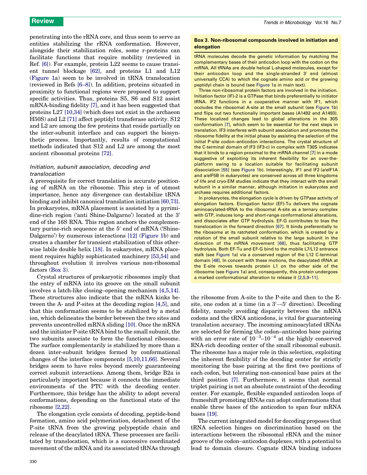<span id="page-5-0"></span>**Review Trends in Microbiology Vol.16 No.7** 

penetrating into the rRNA core, and thus seem to serve as entities stabilizing the rRNA conformation. However, alongside their stabilization roles, some r-proteins can facilitate functions that require mobility (reviewed in Ref. [\[6\]](#page-8-0)). For example, protein L22 seems to cause transient tunnel blockage [\[62\],](#page-9-0) and proteins L1 and L12 ([Figure 1a](#page-3-0)) seem to be involved in tRNA translocation (reviewed in Refs [\[6–8\]\)](#page-8-0). In addition, proteins situated in proximity to functional regions were proposed to support specific activities. Thus, proteins S5, S6 and S12 assist mRNA-binding fidelity [\[7\]](#page-8-0), and it has been suggested that proteins L27 [\[10,34\]](#page-8-0) (which does not exist in the archaeon H50S) and L2 [\[71\]](#page-10-0) affect peptidyl transferase activity. S12 and L2 are among the few proteins that reside partially on the inter-subunit interface and can support the biosynthetic process. Importantly, results of computational methods indicated that S12 and L2 are among the most ancient ribosomal proteins [\[72\]](#page-10-0).

## Initiation, subunit association, decoding and translocation

A prerequisite for correct translation is accurate positioning of mRNA on the ribosome. This step is of utmost importance, hence any divergence can destabilize tRNA binding and inhibit canonical translation initiation [\[60,73\]](#page-9-0). In prokaryotes, mRNA placement is assisted by a pyrimidine-rich region ('anti Shine-Dalgarno') located at the 3' end of the 16S RNA. This region anchors the complementary purine-rich sequence at the  $5'$  end of mRNA ('Shine-Dalgarno') by numerous interactions [\[12\]](#page-8-0) ([Figure 1b](#page-3-0)) and creates a chamber for transient stabilization of this otherwise labile double helix [\[18\]](#page-9-0). In eukaryotes, mRNA placement requires highly sophisticated machinery [\[53,54\]](#page-9-0) and throughout evolution it involves various non-ribosomal factors (Box 3).

Crystal structures of prokaryotic ribosomes imply that the entry of mRNA into its groove on the small subunit involves a latch-like closing–opening mechanism [\[4,5,14\]](#page-8-0). These structures also indicate that the mRNA kinks between the A- and P-sites at the decoding region [\[4,5\],](#page-8-0) and that this conformation seems to be stabilized by a metal ion, which delineates the border between the two sites and prevents uncontrolled mRNA sliding [\[10\]](#page-8-0). Once the mRNA and the initiator P-site tRNA bind to the small subunit, the two subunits associate to form the functional ribosome. The surface complementarily is stabilized by more than a dozen inter-subunit bridges formed by conformational changes of the interface components [\[5,10,11,66\]](#page-8-0). Several bridges seem to have roles beyond merely guaranteeing correct subunit interactions. Among them, bridge B2a is particularly important because it connects the immediate environments of the PTC with the decoding center. Furthermore, this bridge has the ability to adopt several conformations, depending on the functional state of the ribosome [\[2,22\]](#page-8-0).

The elongation cycle consists of decoding, peptide-bond formation, amino acid polymerization, detachment of the P-site tRNA from the growing polypeptide chain and release of the deacylated tRNA. These processes are facilitated by translocation, which is a successive coordinated movement of the mRNA and its associated tRNAs through

### Box 3. Non-ribosomal compounds involved in initiation and elongation

tRNA molecules decode the genetic information by matching the complementary bases of their anticodon loop with the codon on the mRNA. All tRNAs are double helical L-shaped molecules, except for their anticodon loop and the single-stranded 3' end (almost universally CCA) to which the cognate amino acid or the growing peptidyl chain is bound (see [Figure 1](#page-3-0)a in main text).

Three non-ribosomal protein factors are involved in the initiation. Initiation factor (IF)-2 is a GTPase that binds preferentially to initiator tRNA. IF2 functions in a cooperative manner with IF1, which occludes the ribosomal A-site at the small subunit (see [Figure 1b](#page-3-0)) and flips out two functionally important bases (A1492 and A1493). These localized changes lead to global alterations in the 30S conformation [\[7\]](#page-8-0), which seem to be essential for the next steps in translation. IF3 interferes with subunit association and promotes the ribosome fidelity at the initial phase by assisting the selection of the initial P-site codon–anticodon interactions. The crystal structure of the C-terminal domain of IF3 (IF3-c) in complex with T30S indicates that it binds to a region proximal to the mRNA channel [\[7\]](#page-8-0) in a mode suggestive of exploiting its inherent flexibility for an over-theplatform swing to a location suitable for facilitating subunit dissociation [\[55\]](#page-9-0) (see [Figure 1b](#page-3-0)). Interestingly, IF1 and IF2 (a/eIF1A and a/eIF5B in eukaryotes) are conserved across all three kingdoms of life and cryo-EM studies indicate that they interact with the small subunit in a similar manner, although initiation in eukaryotes and archaea requires additional factors.

In prokaryotes, the elongation cycle is driven by GTPase activity of elongation factors. Elongation factor (EF)-Tu delivers the cognate aminoacylated-tRNA to the ribosomal A-site as a ternary complex with GTP, induces long- and short-range conformational alterations, and dissociates after GTP hydrolysis. EF-G contributes to bias the translocation in the forward direction [\[67\]](#page-9-0). It binds preferentially to the ribosome at its ratcheted conformation, which is created by a rotation of the small subunit relative to the large subunit in the direction of the mRNA movement [\[68\]](#page-10-0), thus facilitating GTP hydrolysis. Both EF-Tu and EF-G bind to the mobile L7/L12 entrance stalk (see [Figure 1a](#page-3-0)) via a conserved region of the L12 C-terminal domain [\[48\]](#page-9-0). In concert with these motions, the deacylated tRNA at the E-site moves towards protein L1 on the other side of the ribosome (see [Figure 1](#page-3-0)a) and, consequently, this protein undergoes a marked conformational alteration to release it [\[2,5,9–11\].](#page-8-0)

the ribosome from A-site to the P-site and then to the Esite, one codon at a time (in a  $3' \rightarrow 5'$  direction). Decoding fidelity, namely avoiding disparity between the mRNA codons and the tRNA anticodons, is vital for guaranteeing translation accuracy. The incoming aminoacylated tRNAs are selected for forming the codon–anticodon base pairing with an error rate of  $10^{-3}$ – $10^{-4}$  at the highly conserved RNA-rich decoding center of the small ribosomal subunit. The ribosome has a major role in this selection, exploiting the inherent flexibility of the decoding center for strictly monitoring the base pairing at the first two positions of each codon, but tolerating non-canonical base pairs at the third position [\[7\].](#page-8-0) Furthermore, it seems that normal triplet pairing is not an absolute constraint of the decoding center. For example, flexible expanded anticodon loops of frameshift promoting tRNAs can adopt conformations that enable three bases of the anticodon to span four mRNA bases [\[19\]](#page-9-0).

The current integrated model for decoding proposes that tRNA selection hinges on discrimination based on the interactions between the ribosomal rRNA and the minor groove of the codon–anticodon duplexes, with a potential to lead to domain closure. Cognate tRNA binding induces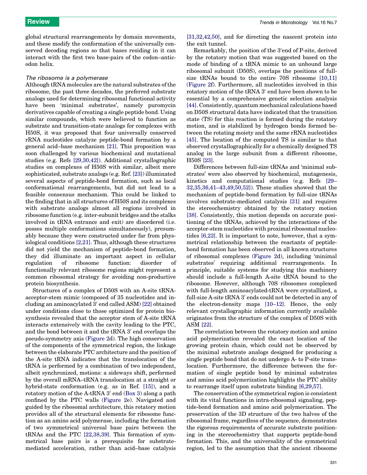global structural rearrangements by domain movements, and these modify the conformation of the universally conserved decoding regions so that bases residing in it can interact with the first two base-pairs of the codon–anticodon helix.

#### The ribosome is a polymerase

Although tRNA molecules are the natural substrates of the ribosome, the past three decades, the preferred substrate analogs used for determining ribosomal functional activity have been 'minimal substrates', namely puromycin derivatives capable of creating a single peptide bond. Using similar compounds, which were believed to function as substrate and transition-state analogs for complexes with H50S, it was proposed that four universally conserved rRNA nucleotides catalyze peptide-bond formation by a general acid–base mechanism [\[21\].](#page-9-0) This proposition was soon challenged by various biochemical and mutational studies (e.g. Refs [\[29,30,42\]\)](#page-9-0). Additional crystallographic studies on complexes of H50S with similar, albeit more sophisticated, substrate analogs (e.g. Ref. [\[23\]\)](#page-9-0) illuminated several aspects of peptide-bond formation, such as local conformational rearrangements, but did not lead to a feasible consensus mechanism. This could be linked to the finding that in all structures of H50S and its complexes with substrate analogs almost all regions involved in ribosome function (e.g. inter-subunit bridges and the stalks involved in tRNA entrance and exit) are disordered (i.e. posses multiple conformations simultaneously), presumably because they were constructed under far from physiological conditions [\[2,21\]](#page-8-0). Thus, although these structures did not yield the mechanism of peptide-bond formation, they did illuminate an important aspect in cellular regulation of ribosome function: disorder of functionally relevant ribosome regions might represent a common ribosomal strategy for avoiding non-productive protein biosynthesis.

Structures of a complex of D50S with an A-site tRNAacceptor-stem mimic (composed of 35 nucleotides and including an aminoacylated  $3'$  end called ASM) [\[22\]](#page-9-0) obtained under conditions close to those optimized for protein biosynthesis revealed that the acceptor stem of A-site tRNA interacts extensively with the cavity leading to the PTC, and the bond between it and the tRNA 3' end overlaps the pseudo-symmetry axis ([Figure 2d](#page-4-0)). The high conservation of the components of the symmetrical region, the linkage between the elaborate PTC architecture and the position of the A-site tRNA indicates that the translocation of the tRNA is performed by a combination of two independent, albeit synchronized, motions: a sideways shift, performed by the overall mRNA–tRNA translocation at a straight or hybrid-state conformation (e.g. as in Ref. [\[15\]](#page-9-0)), and a rotatory motion of the A-tRNA  $3'$  end [\(Box 3\)](#page-5-0) along a path confined by the PTC walls [\(Figure 2](#page-4-0)e). Navigated and guided by the ribosomal architecture, this rotatory motion provides all of the structural elements for ribosome function as an amino acid polymerase, including the formation of two symmetrical universal base pairs between the tRNAs and the PTC [\[22,38,39\]](#page-9-0). This formation of symmetrical base pairs is a prerequisite for substratemediated acceleration, rather than acid–base catalysis

[\[31,32,42,50\]](#page-9-0), and for directing the nascent protein into the exit tunnel.

Remarkably, the position of the 3'end of P-site, derived by the rotatory motion that was suggested based on the mode of binding of a tRNA mimic to an unbound large ribosomal subunit (D50S), overlaps the positions of fullsize tRNAs bound to the entire 70S ribosome [\[10,11\]](#page-8-0) ([Figure 2](#page-4-0)f). Furthermore, all nucleotides involved in this rotatory motion of the tRNA 3' end have been shown to be essential by a comprehensive genetic selection analysis [\[44\]](#page-9-0). Consistently, quantum mechanical calculations based on D50S structural data have indicated that the transition state (TS) for this reaction is formed during the rotatory motion, and is stabilized by hydrogen bonds formed between the rotating moiety and the same rRNA nucleotides [\[45\]](#page-9-0). The location of the computed TS is similar to that observed crystallographically for a chemically designed TS analog in the large subunit from a different ribosome, H50S [\[23\]](#page-9-0).

Differences between full-size tRNAs and 'minimal substrates' were also observed by biochemical, mutagenesis, kinetics and computational studies (e.g. Refs [\[29–](#page-9-0) [32,35,36,41–43,49,50,52\]\)](#page-9-0). These studies showed that the mechanism of peptide-bond formation by full-size tRNAs involves substrate-mediated catalysis [\[31\]](#page-9-0) and requires the stereochemistry obtained by the rotatory motion [\[38\]](#page-9-0). Consistently, this motion depends on accurate positioning of the tRNAs, achieved by the interactions of the acceptor-stem nucleotides with proximal ribosomal nucleotides [\[6,22\]](#page-8-0). It is important to note, however, that a symmetrical relationship between the reactants of peptidebond formation has been observed in all known structures of ribosomal complexes ([Figure 2d](#page-4-0)), including 'minimal substrates' requiring additional rearrangements. In principle, suitable systems for studying this machinery should include a full-length A-site tRNA bound to the ribosome. However, although 70S ribosomes complexed with full-length aminoacylated-tRNA were crystallized, a full-size A-site  $tRNA 3'$  ends could not be detected in any of the electron-density maps [\[10–12\]](#page-8-0). Hence, the only relevant crystallographic information currently available originates from the structure of the complex of D50S with ASM [\[22\].](#page-9-0)

The correlation between the rotatory motion and amino acid polymerization revealed the exact location of the growing protein chain, which could not be observed by the minimal substrate analogs designed for producing a single peptide bond that do not undergo A- to P-site translocation. Furthermore, the difference between the formation of single peptide bond by minimal substrates and amino acid polymerization highlights the PTC ability to rearrange itself upon substrate binding [\[6,29,57\]](#page-8-0).

The conservation of the symmetrical region is consistent with its vital functions in intra-ribosomal signaling, peptide-bond formation and amino acid polymerization. The preservation of the 3D structure of the two halves of the ribosomal frame, regardless of the sequence, demonstrates the rigorous requirements of accurate substrate positioning in the stereochemistry that supports peptide-bond formation. This, and the universality of the symmetrical region, led to the assumption that the ancient ribosome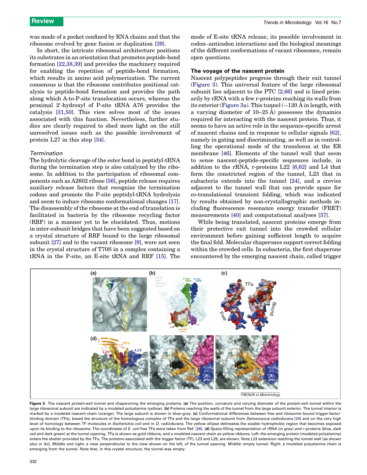<span id="page-7-0"></span>was made of a pocket confined by RNA chains and that the ribosome evolved by gene fusion or duplication [\[39\].](#page-9-0)

In short, the intricate ribosomal architecture positions its substrates in an orientation that promotes peptide-bond formation [\[22,38,39\]](#page-9-0) and provides the machinery required for enabling the repetition of peptide-bond formation, which results in amino acid polymerization. The current consensus is that the ribosome contributes positional catalysis to peptide-bond formation and provides the path along which A-to-P-site translocation occurs, whereas the proximal 2'-hydroxyl of P-site tRNA A76 provides the catalysis [\[31,50\].](#page-9-0) This view solves most of the issues associated with this function. Nevertheless, further studies are clearly required to shed more light on the still unresolved issues such as the possible involvement of protein L27 in this step [\[34\]](#page-9-0).

#### Termination

The hydrolytic cleavage of the ester bond in peptidyl-tRNA during the termination step is also catalyzed by the ribosome. In addition to the participation of ribosomal components such as A2602 ribose [\[56\]](#page-9-0), peptide release requires auxiliary release factors that recognize the termination codons and promote the P-site peptidyl-tRNA hydrolysis and seem to induce ribosome conformational changes [\[17\]](#page-9-0). The disassembly of the ribosome at the end of translation is facilitated in bacteria by the ribosome recycling factor (RRF) in a manner yet to be elucidated. Thus, motions in inter-subunit bridges that have been suggested based on a crystal structure of RRF bound to the large ribosomal subunit [\[27\]](#page-9-0) and to the vacant ribosome [\[9\],](#page-8-0) were not seen in the crystal structure of T70S in a complex containing a tRNA in the P-site, an E-site tRNA and RRF [\[15\]](#page-9-0). The mode of E-site tRNA release, its possible involvement in codon–anticodon interactions and the biological meanings of the different conformations of vacant ribosomes, remain open questions.

### The voyage of the nascent protein

Nascent polypeptides progress through their exit tunnel (Figure 3). This universal feature of the large ribosomal subunit lies adjacent to the PTC [\[2,66\]](#page-8-0) and is lined primarily by rRNA with a few r-proteins reaching its walls from the exterior (Figure 3a). This tunnel  $(\sim 120 \text{ Å} \text{ in length}, \text{with}$ a varying diameter of  $10-25$  Å) possesses the dynamics required for interacting with the nascent protein. Thus, it seems to have an active role in the sequence-specific arrest of nascent chains and in response to cellular signals [\[62\]](#page-9-0), namely in gating and discriminating, as well as in controlling the operational mode of the translocon at the ER membrane [\[46\]](#page-9-0). Elements of the tunnel wall that seem to sense nascent-peptide-specific sequences include, in addition to the rRNA, r-proteins L22 [\[6,62\]](#page-8-0) and L4 that form the constricted region of the tunnel, L23 that in eubacteria extends into the tunnel [\[24\]](#page-9-0), and a crevice adjacent to the tunnel wall that can provide space for co-translational transient folding, which was indicated by results obtained by non-crystallographic methods including fluorescence resonance energy transfer (FRET) measurements [\[40\]](#page-9-0) and computational analyses [\[37\].](#page-9-0)

While being translated, nascent proteins emerge from their protective exit tunnel into the crowded cellular environment before gaining sufficient length to acquire the final fold. Molecular chaperones support correct folding within the crowded cells. In eubacteria, the first chaperone encountered by the emerging nascent chain, called trigger



Figure 3. The nascent protein-exit tunnel and chaperoning the emerging proteins. (a) The position, curvature and varying diameter of the protein-exit tunnel within the large ribosomal subunit are indicated by a modeled polyalanine (yellow). (b) Proteins reaching the walls of the tunnel from the large subunit exterior. The tunnel interior is marked by a modeled nascent chain (orange). The large subunit is shown in blue-gray. (c) Conformational differences between free and ribosome bound trigger-factor-binding domain (TFa), based the structure of the homologous complex of TFa and the large ribosomal subunit from Deinococcus radiodurans [\[24\]](#page-9-0) and on the very high level of homology between TF molecules in Escherichia coli and in D. radiodurans. The yellow ellipse delineates the sizable hydrophobic region that becomes exposed upon its binding to the ribosome. The coordinates of E. coli free TFa were taken from Ref. [\[26\].](#page-9-0) (d) Space-filling representation of rRNA (in gray) and r-proteins (blue, dark red and dark green) at the tunnel opening. TFa is shown as gold ribbons, and a modeled nascent chain as yellow ribbons. Left: the emerging protein (modeled polyalanine) enters the shelter provided by the TFa. The proteins associated with the trigger factor (TF), L23 and L29, are shown. Note L23 extension reaching the tunnel wall [as shown also in (b)]. Middle and right: a view perpendicular to the view shown on the left, of the tunnel opening. Middle: empty tunnel. Right: a modeled polyalanine chain is emerging from the tunnel. Note that, in this crystal structure, the tunnel was empty.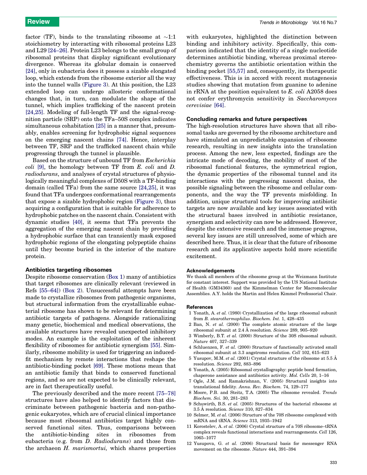<span id="page-8-0"></span>factor (TF), binds to the translating ribosome at  $\sim$ 1:1 stoichiometry by interacting with ribosomal proteins L23 and L29 [\[24–26\]](#page-9-0). Protein L23 belongs to the small group of ribosomal proteins that display significant evolutionary divergence. Whereas its globular domain is conserved [\[24\]](#page-9-0), only in eubacteria does it possess a sizable elongated loop, which extends from the ribosome exterior all the way into the tunnel walls [\(Figure 3\)](#page-7-0). At this position, the L23 extended loop can undergo allosteric conformational changes that, in turn, can modulate the shape of the tunnel, which implies trafficking of the nascent protein [\[24,25\]](#page-9-0). Modeling of full-length TF and the signal-recognition particle (SRP) onto the TFa–50S complex indicates simultaneous cohabitation [\[25\]](#page-9-0) in a manner that, presumably, enables screening for hydrophobic signal sequences on the emerging nascent chains [\[74\]](#page-10-0). Hence, interplay between TF, SRP and the trafficked nascent chain while progressing through the tunnel is plausible.

Based on the structure of unbound TF from Escherichia coli [9], the homology between TF from E. coli and D. radiodurans, and analyses of crystal structures of physiologically meaningful complexes of D50S with a TF-binding domain (called TFa) from the same source [\[24,25\]](#page-9-0), it was found that TFa undergoes conformational rearrangements that expose a sizable hydrophobic region ([Figure 3](#page-7-0)), thus acquiring a configuration that is suitable for adherence to hydrophobic patches on the nascent chain. Consistent with dynamic studies [\[40\],](#page-9-0) it seems that TFa prevents the aggregation of the emerging nascent chain by providing a hydrophobic surface that can transiently mask exposed hydrophobic regions of the elongating polypeptide chains until they become buried in the interior of the mature protein.

#### Antibiotics targeting ribosomes

Despite ribosome conservation ([Box 1](#page-2-0)) many of antibiotics that target ribosomes are clinically relevant (reviewed in Refs [\[55–64\]\)](#page-9-0) [\(Box 2](#page-2-0)). Unsuccessful attempts have been made to crystallize ribosomes from pathogenic organisms, but structural information from the crystallizable eubacterial ribosome has shown to be relevant for determining antibiotic targets of pathogens. Alongside rationalizing many genetic, biochemical and medical observations, the available structures have revealed unexpected inhibitory modes. An example is the exploitation of the inherent flexibility of ribosomes for antibiotic synergism [\[55\].](#page-9-0) Similarly, ribosome mobility is used for triggering an inducedfit mechanism by remote interactions that reshape the antibiotic-binding pocket [\[69\]](#page-10-0). These motions mean that an antibiotic family that binds to conserved functional regions, and so are not expected to be clinically relevant, are in fact therapeutically useful.

The previously described and the more recent [\[75–78\]](#page-10-0) structures have also helped to identify factors that discriminate between pathogenic bacteria and non-pathogenic eukaryotes, which are of crucial clinical importance because most ribosomal antibiotics target highly conserved functional sites. Thus, comparisons between the antibiotic-binding sites in ribosomes from eubacteria (e.g. from D. Radiodurans) and those from the archaeon H. marismortui, which shares properties with eukaryotes, highlighted the distinction between binding and inhibitory activity. Specifically, this comparison indicated that the identity of a single nucleotide determines antibiotic binding, whereas proximal stereochemistry governs the antibiotic orientation within the binding pocket [\[55,57\]](#page-9-0) and, consequently, its therapeutic effectiveness. This is in accord with recent mutagenesis studies showing that mutation from guanine to adenine in rRNA at the position equivalent to E. coli A2058 does not confer erythromycin sensitivity in Saccharomyces cerevisiae [\[64\]](#page-9-0).

#### Concluding remarks and future perspectives

The high-resolution structures have shown that all ribosomal tasks are governed by the ribosome architecture and have stimulated an unpredictable expansion of ribosome research, resulting in new insights into the translation process. Among the new, less expected, findings are the intricate mode of decoding, the mobility of most of the ribosomal functional features, the symmetrical region, the dynamic properties of the ribosomal tunnel and its interactions with the progressing nascent chains, the possible signaling between the ribosome and cellular components, and the way the TF prevents misfolding. In addition, unique structural tools for improving antibiotic targets are now available and key issues associated with the structural bases involved in antibiotic resistance, synergism and selectivity can now be addressed. However, despite the extensive research and the immense progress, several key issues are still unresolved, some of which are described here. Thus, it is clear that the future of ribosome research and its applicative aspects hold more scientific excitement.

#### Acknowledgements

We thank all members of the ribosome group at the Weizmann Institute for constant interest. Support was provided by the US National Institute of Health (GM34360) and the Kimmelman Center for Macromolecular Assemblies. A.Y. holds the Martin and Helen Kimmel Professorial Chair.

#### **References**

- 1 Yonath, A. et al. (1980) Crystallization of the large ribosomal subunit from B. stearothermophilus. Biochem. Int. 1, 428–435
- 2 Ban, N. et al. (2000) The complete atomic structure of the large ribosomal subunit at  $2.4 \text{ Å}$  resolution. Science 289, 905–920
- 3 Wimberly, B.T. et al. (2000) Structure of the 30S ribosomal subunit. Nature 407, 327–339
- 4 Schluenzen, F. et al. (2000) Structure of functionally activated small ribosomal subunit at 3.3 angstroms resolution. Cell 102, 615–623
- 5 Yusupov, M.M. et al. (2001) Crystal structure of the ribosome at  $5.5 \text{ Å}$ resolution. Science 292, 883–896
- 6 Yonath, A. (2005) Ribosomal crystallography: peptide bond formation, chaperone assistance and antibiotics activity. Mol. Cells 20, 1–16
- 7 Ogle, J.M. and Ramakrishnan, V. (2005) Structural insights into translational fidelity. Annu. Rev. Biochem. 74, 129–177
- 8 Moore, P.B. and Steitz, T.A. (2005) The ribosome revealed. Trends Biochem. Sci. 30, 281–283
- 9 Schuwirth, B.S. et al. (2005) Structures of the bacterial ribosome at 3.5 Å resolution. Science 310, 827-834
- 10 Selmer, M. et al. (2006) Structure of the 70S ribosome complexed with mRNA and tRNA. Science 313, 1935–1942
- 11 Korostelev, A. et al. (2006) Crystal structure of a 70S ribosome–tRNA complex reveals functional interactions and rearrangements. Cell 126, 1065–1077
- 12 Yusupova, G. et al. (2006) Structural basis for messenger RNA movement on the ribosome. Nature 444, 391–394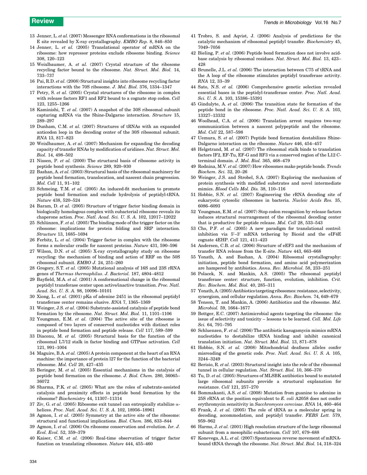- <span id="page-9-0"></span>13 Jenner, L. et al. (2007) Messenger RNA conformations in the ribosomal E site revealed by X-ray crystallography. EMBO Rep. 8, 846–850
- 14 Jenner, L. et al. (2005) Translational operator of mRNA on the ribosome: how repressor proteins exclude ribosome binding. Science 308, 120–123
- 15 Weixlbaumer, A. et al. (2007) Crystal structure of the ribosome recycling factor bound to the ribosome. Nat. Struct. Mol. Biol. 14, 733–737
- 16 Pai, R.D. et al. (2008) Structural insights into ribosome recycling factor interactions with the 70S ribosome. J. Mol. Biol. 376, 1334–1347
- 17 Petry, S. et al. (2005) Crystal structures of the ribosome in complex with release factors RF1 and RF2 bound to a cognate stop codon. Cell 123, 1255–1266
- 18 Kaminishi, T. et al. (2007) A snapshot of the 30S ribosomal subunit capturing mRNA via the Shine-Dalgarno interaction. Structure 15, 289–297
- 19 Dunham, C.M. et al. (2007) Structures of tRNAs with an expanded anticodon loop in the decoding center of the 30S ribosomal subunit. RNA 13, 817–823
- 20 Weixlbaumer, A. et al. (2007) Mechanism for expanding the decoding capacity of transfer RNAs by modification of uridines. Nat. Struct. Mol. Biol. 14, 498–502
- 21 Nissen, P. et al. (2000) The structural basis of ribosome activity in peptide bond synthesis. Science 289, 920–930
- 22 Bashan, A. et al. (2003) Structural basis of the ribosomal machinery for peptide bond formation, translocation, and nascent chain progression. Mol. Cell 11, 91–102
- 23 Schmeing, T.M. et al. (2005) An induced-fit mechanism to promote peptide bond formation and exclude hydrolysis of peptidyl-tRNA. Nature 438, 520–524
- 24 Baram, D. et al. (2005) Structure of trigger factor binding domain in biologically homologous complex with eubacterial ribosome reveals its chaperone action. Proc. Natl. Acad. Sci. U. S. A. 102, 12017–12022
- 25 Schlünzen, F. et al. (2005) The binding mode of the trigger factor on the ribosome: implications for protein folding and SRP interaction. Structure 13, 1685–1694
- 26 Ferbitz, L. et al. (2004) Trigger factor in complex with the ribosome forms a molecular cradle for nascent proteins. Nature 431, 590–596
- 27 Wilson, D.N. et al. (2005) X-ray crystallography study on ribosome recycling: the mechanism of binding and action of RRF on the 50S ribosomal subunit. EMBO J. 24, 251–260
- 28 Gregory, S.T. et al. (2005) Mutational analysis of 16S and 23S rRNA genes of Thermus thermophilus. J. Bacteriol. 187, 4804–4812
- 29 Bayfield, M.A. et al. (2001) A conformational change in the ribosomal peptidyl transferase center upon active/inactive transition. Proc. Natl. Acad. Sci. U. S. A. 98, 10096–10101
- 30 Xiong, L. et al. (2001) pKa of adenine 2451 in the ribosomal peptidyl transferase center remains elusive. RNA 7, 1365–1369
- 31 Weinger, J.S. et al. (2004) Substrate-assisted catalysis of peptide bond formation by the ribosome. Nat. Struct. Mol. Biol. 11, 1101–1106
- 32 Youngman, E.M. et al. (2004) The active site of the ribosome is composed of two layers of conserved nucleotides with distinct roles in peptide bond formation and peptide release. Cell 117, 589–599
- 33 Diaconu, M. et al. (2005) Structural basis for the function of the ribosomal L7/12 stalk in factor binding and GTPase activation. Cell 121, 991–1004
- 34 Maguire, B.A. et al. (2005) A protein component at the heart of an RNA machine: the importance of protein l27 for the function of the bacterial ribosome. Mol. Cell 20, 427–435
- 35 Beringer, M. et al. (2005) Essential mechanisms in the catalysis of peptide bond formation on the ribosome. J. Biol. Chem. 280, 36065– 36072
- 36 Sharma, P.K. et al. (2005) What are the roles of substrate-assisted catalysis and proximity effects in peptide bond formation by the ribosome? Biochemistry 44, 11307–11314
- 37 Ziv, G. et al. (2005) Ribosome exit tunnel can entropically stabilize  $\alpha$ helices. Proc. Natl. Acad. Sci. U. S. A. 102, 18956–18961
- 38 Agmon, I. et al. (2005) Symmetry at the active site of the ribosome: structural and functional implications. Biol. Chem. 386, 833–844
- 39 Agmon, I. et al. (2006) On ribosome conservation and evolution. Isr. J. Ecol. Evol. 52, 359–379
- 40 Kaiser, C.M. et al. (2006) Real-time observation of trigger factor function on translating ribosomes. Nature 444, 455–460
- 41 Trobro, S. and Aqvist, J. (2006) Analysis of predictions for the catalytic mechanism of ribosomal peptidyl transfer. Biochemistry 45, 7049–7056
- 42 Bieling, P. et al. (2006) Peptide bond formation does not involve acidbase catalysis by ribosomal residues. Nat. Struct. Mol. Biol. 13, 423– 428
- 43 Brunelle, J.L. et al. (2006) The interaction between C75 of tRNA and the A loop of the ribosome stimulates peptidyl transferase activity. RNA 12, 33–39
- 44 Sato, N.S. et al. (2006) Comprehensive genetic selection revealed essential bases in the peptidyl-transferase center. Proc. Natl. Acad. Sci. U. S. A. 103, 15386–15391
- 45 Gindulyte, A. et al. (2006) The transition state for formation of the peptide bond in the ribosome. Proc. Natl. Acad. Sci. U. S. A. 103, 13327–13332
- 46 Woolhead, C.A. et al. (2006) Translation arrest requires two-way communication between a nascent polypeptide and the ribosome. Mol. Cell 22, 587–598
- 47 Uemura, S. et al. (2007) Peptide bond formation destabilizes Shine-Dalgarno interaction on the ribosome. Nature 446, 454–457
- 48 Helgstrand, M. et al. (2007) The ribosomal stalk binds to translation factors IF2, EF-Tu, EF-G and RF3 via a conserved region of the L12 Cterminal domain. J. Mol. Biol. 365, 468–479
- 49 Rodnina, M.V. et al. (2007) How ribosomes make peptide bonds. Trends Biochem. Sci. 32, 20–26
- 50 Weinger, J.S. and Strobel, S.A. (2007) Exploring the mechanism of protein synthesis with modified substrates and novel intermediate mimics. Blood Cells Mol. Dis. 38, 110–116
- 51 Hobbie, S.N. et al. (2007) Engineering the rRNA decoding site of eukaryotic cytosolic ribosomes in bacteria. Nucleic Acids Res. 35, 6086–6093
- 52 Youngman, E.M. et al. (2007) Stop codon recognition by release factors induces structural rearrangement of the ribosomal decoding center that is productive for peptide release. Mol. Cell 28, 533–543
- 53 Cho, P.F. et al. (2005) A new paradigm for translational control: inhibition via  $5'-3'$  mRNA tethering by Bicoid and the eIF4E cognate 4EHP. Cell 121, 411–423
- 54 Andersen, C.B. et al. (2006) Structure of eEF3 and the mechanism of transfer RNA release from the E-site. Nature 443, 663–668
- 55 Yonath, A. and Bashan, A. (2004) Ribosomal crystallography: initiation, peptide bond formation, and amino acid polymerization are hampered by antibiotics. Annu. Rev. Microbiol. 58, 233–251
- 56 Polacek, N. and Mankin, A.S. (2005) The ribosomal peptidyl transferase center: structure, function, evolution, inhibition. Crit. Rev. Biochem. Mol. Biol. 40, 285–311
- 57 Yonath, A. (2005) Antibiotics targeting ribosomes: resistance, selectivity, synergism, and cellular regulation. Annu. Rev. Biochem. 74, 649–679
- 58 Tenson, T. and Mankin, A. (2006) Antibiotics and the ribosome. Mol. Microbiol. 59, 1664–1677
- 59 Bottger, E.C. (2007) Antimicrobial agents targeting the ribosome: the issue of selectivity and toxicity – lessons to be learned. Cell. Mol. Life Sci. 64, 791–795
- 60 Schluenzen, F. et al. (2006) The antibiotic kasugamycin mimics mRNA nucleotides to destabilize tRNA binding and inhibit canonical translation initiation. Nat. Struct. Mol. Biol. 13, 871–878
- 61 Hobbie, S.N. et al. (2008) Mitochondrial deafness alleles confer misreading of the genetic code. Proc. Natl. Acad. Sci. U. S. A. 105, 3244–3249
- 62 Berisio, R. et al. (2003) Structural insight into the role of the ribosomal tunnel in cellular regulation. Nat. Struct. Biol. 10, 366-370
- 63 Tu, D. et al. (2005) Structures of MLSBK antibiotics bound to mutated large ribosomal subunits provide a structural explanation for resistance. Cell 121, 257–270
- 64 Bommakanti, A.S. et al. (2008) Mutation from guanine to adenine in 25S rRNA at the position equivalent to E. coli A2058 does not confer erythromycin sensitivity in Sacchromyces cerevisae. RNA 14, 460–464
- 65 Frank, J. et al. (2005) The role of tRNA as a molecular spring in decoding, accommodation, and peptidyl transfer. FEBS Lett. 579, 959–962
- 66 Harms, J. et al. (2001) High resolution structure of the large ribosomal subunit from a mesophilic eubacterium. Cell 107, 679–688
- 67 Konevega, A.L. et al. (2007) Spontaneous reverse movement of mRNAbound tRNA through the ribosome. Nat. Struct. Mol. Biol. 14, 318–324